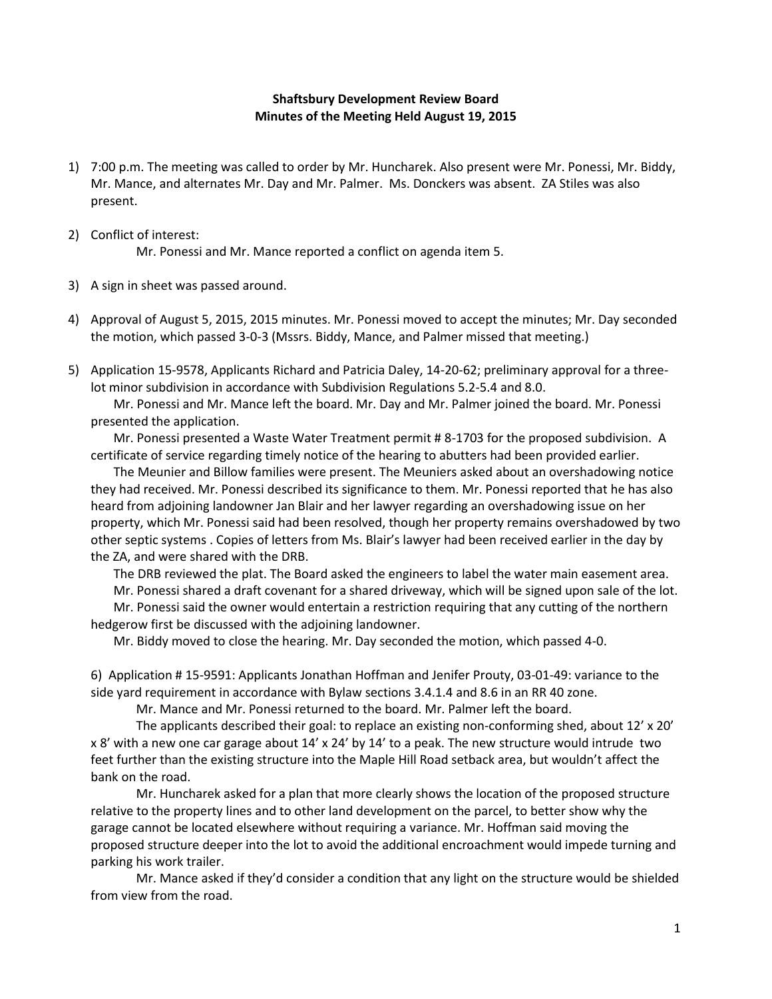## **Shaftsbury Development Review Board Minutes of the Meeting Held August 19, 2015**

- 1) 7:00 p.m. The meeting was called to order by Mr. Huncharek. Also present were Mr. Ponessi, Mr. Biddy, Mr. Mance, and alternates Mr. Day and Mr. Palmer. Ms. Donckers was absent. ZA Stiles was also present.
- 2) Conflict of interest:

Mr. Ponessi and Mr. Mance reported a conflict on agenda item 5.

- 3) A sign in sheet was passed around.
- 4) Approval of August 5, 2015, 2015 minutes. Mr. Ponessi moved to accept the minutes; Mr. Day seconded the motion, which passed 3-0-3 (Mssrs. Biddy, Mance, and Palmer missed that meeting.)
- 5) Application 15-9578, Applicants Richard and Patricia Daley, 14-20-62; preliminary approval for a threelot minor subdivision in accordance with Subdivision Regulations 5.2-5.4 and 8.0.

Mr. Ponessi and Mr. Mance left the board. Mr. Day and Mr. Palmer joined the board. Mr. Ponessi presented the application.

Mr. Ponessi presented a Waste Water Treatment permit # 8-1703 for the proposed subdivision. A certificate of service regarding timely notice of the hearing to abutters had been provided earlier.

The Meunier and Billow families were present. The Meuniers asked about an overshadowing notice they had received. Mr. Ponessi described its significance to them. Mr. Ponessi reported that he has also heard from adjoining landowner Jan Blair and her lawyer regarding an overshadowing issue on her property, which Mr. Ponessi said had been resolved, though her property remains overshadowed by two other septic systems . Copies of letters from Ms. Blair's lawyer had been received earlier in the day by the ZA, and were shared with the DRB.

The DRB reviewed the plat. The Board asked the engineers to label the water main easement area.

Mr. Ponessi shared a draft covenant for a shared driveway, which will be signed upon sale of the lot.

Mr. Ponessi said the owner would entertain a restriction requiring that any cutting of the northern hedgerow first be discussed with the adjoining landowner.

Mr. Biddy moved to close the hearing. Mr. Day seconded the motion, which passed 4-0.

6) Application # 15-9591: Applicants Jonathan Hoffman and Jenifer Prouty, 03-01-49: variance to the side yard requirement in accordance with Bylaw sections 3.4.1.4 and 8.6 in an RR 40 zone.

Mr. Mance and Mr. Ponessi returned to the board. Mr. Palmer left the board.

The applicants described their goal: to replace an existing non-conforming shed, about 12' x 20' x 8' with a new one car garage about 14' x 24' by 14' to a peak. The new structure would intrude two feet further than the existing structure into the Maple Hill Road setback area, but wouldn't affect the bank on the road.

Mr. Huncharek asked for a plan that more clearly shows the location of the proposed structure relative to the property lines and to other land development on the parcel, to better show why the garage cannot be located elsewhere without requiring a variance. Mr. Hoffman said moving the proposed structure deeper into the lot to avoid the additional encroachment would impede turning and parking his work trailer.

Mr. Mance asked if they'd consider a condition that any light on the structure would be shielded from view from the road.